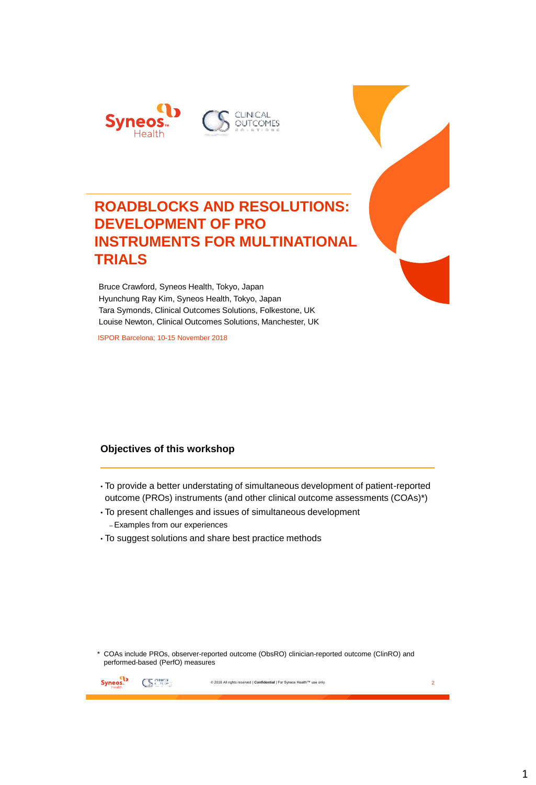

# **ROADBLOCKS AND RESOLUTIONS: DEVELOPMENT OF PRO INSTRUMENTS FOR MULTINATIONAL TRIALS**

Bruce Crawford, Syneos Health, Tokyo, Japan Hyunchung Ray Kim, Syneos Health, Tokyo, Japan Tara Symonds, Clinical Outcomes Solutions, Folkestone, UK Louise Newton, Clinical Outcomes Solutions, Manchester, UK

ISPOR Barcelona; 10-15 November 2018

#### **Objectives of this workshop**

- To provide a better understating of simultaneous development of patient-reported outcome (PROs) instruments (and other clinical outcome assessments (COAs)\*)
- To present challenges and issues of simultaneous development –Examples from our experiences
- To suggest solutions and share best practice methods

\* COAs include PROs, observer-reported outcome (ObsRO) clinician-reported outcome (ClinRO) and performed-based (PerfO) measures

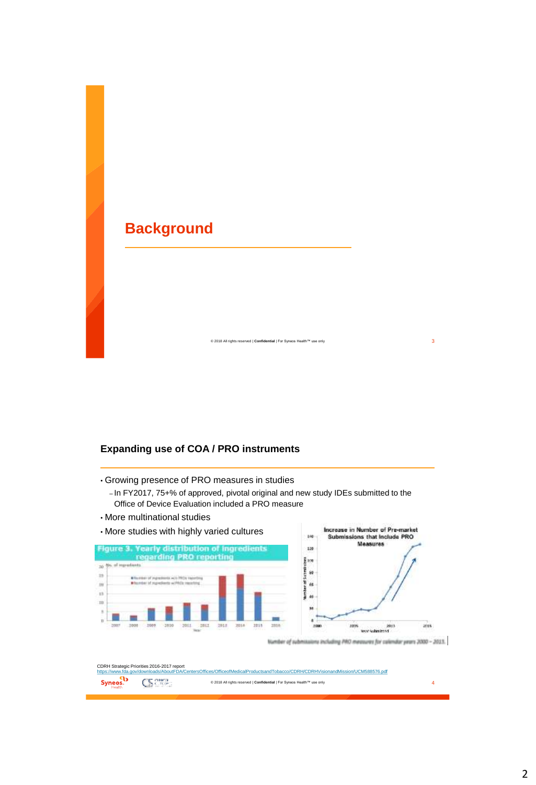# **Background**

#### **Expanding use of COA / PRO instruments**

- Growing presence of PRO measures in studies
	- In FY2017, 75+% of approved, pivotal original and new study IDEs submitted to the Office of Device Evaluation included a PRO measure

© 2018 All rights reserved | **Confidential** | For Syneos Health™ use only 3

• More multinational studies



Number of submissions including PRO measures for calendar years 2000 - 2013.

|                                                                                                                                 | CDRH Strategic Priorities 2016-2017 report |                                                                         |  |  |  |  |  |
|---------------------------------------------------------------------------------------------------------------------------------|--------------------------------------------|-------------------------------------------------------------------------|--|--|--|--|--|
| https://www.fda.gov/downloads/AboutFDA/CentersOffices/OfficeofMedicalProductsandTobacco/CDRH/CDRHVisionandMission/UCM588576.pdf |                                            |                                                                         |  |  |  |  |  |
|                                                                                                                                 | $\mathbf{Syness.}$ $\mathbf{Symess.}$      | © 2018 All rights reserved   Confidential   For Syneos Health™ use only |  |  |  |  |  |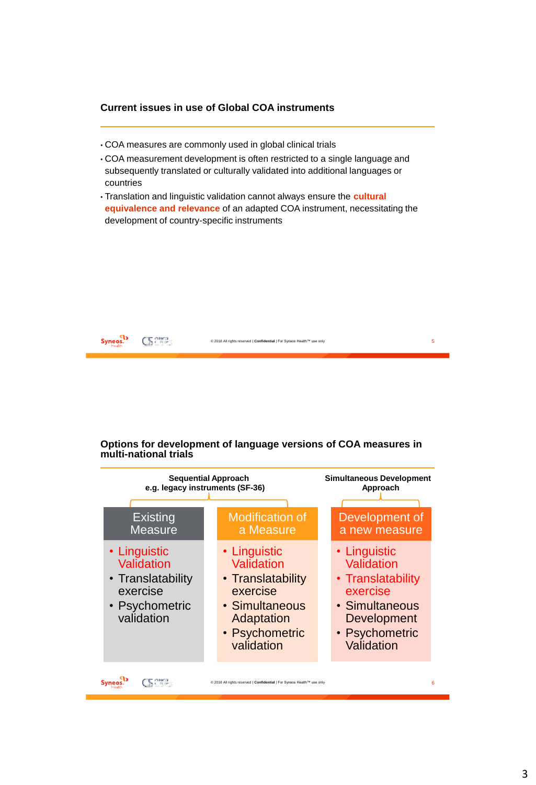#### **Current issues in use of Global COA instruments**

- COA measures are commonly used in global clinical trials
- COA measurement development is often restricted to a single language and subsequently translated or culturally validated into additional languages or countries
- Translation and linguistic validation cannot always ensure the **cultural equivalence and relevance** of an adapted COA instrument, necessitating the development of country-specific instruments



#### **Options for development of language versions of COA measures in multi-national trials**

| <b>Sequential Approach</b>                                                                  | <b>Simultaneous Development</b>                                                                                             |                                                                                                                              |
|---------------------------------------------------------------------------------------------|-----------------------------------------------------------------------------------------------------------------------------|------------------------------------------------------------------------------------------------------------------------------|
| e.g. legacy instruments (SF-36)                                                             | Approach                                                                                                                    |                                                                                                                              |
| <b>Existing</b>                                                                             | <b>Modification of</b>                                                                                                      | Development of                                                                                                               |
| <b>Measure</b>                                                                              | a Measure                                                                                                                   | a new measure                                                                                                                |
| • Linguistic<br>Validation<br>• Translatability<br>exercise<br>• Psychometric<br>validation | • Linguistic<br>Validation<br>• Translatability<br>exercise<br>• Simultaneous<br>Adaptation<br>• Psychometric<br>validation | • Linguistic<br>Validation<br>• Translatability<br>exercise<br>• Simultaneous<br>Development<br>• Psychometric<br>Validation |
|                                                                                             | © 2018 All rights reserved   Confidential   For Syneos Health™ use only                                                     | 6                                                                                                                            |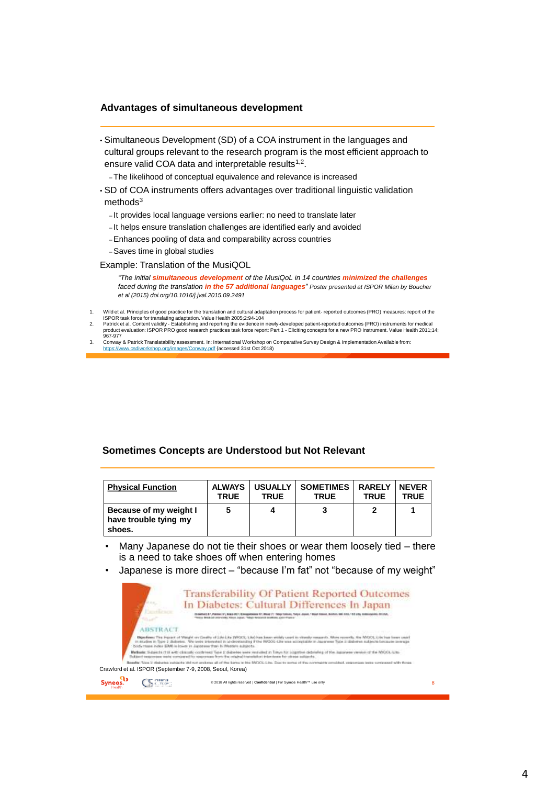#### **Advantages of simultaneous development**

- Simultaneous Development (SD) of a COA instrument in the languages and cultural groups relevant to the research program is the most efficient approach to ensure valid COA data and interpretable results<sup>1,2</sup>.
	- –The likelihood of conceptual equivalence and relevance is increased
- SD of COA instruments offers advantages over traditional linguistic validation  $methods<sup>3</sup>$ 
	- It provides local language versions earlier: no need to translate later
	- It helps ensure translation challenges are identified early and avoided
	- –Enhances pooling of data and comparability across countries
	- –Saves time in global studies

Example: Translation of the MusiQOL

*"The initial simultaneous development of the MusiQoL in 14 countries minimized the challenges faced during the translation in the 57 additional languages" Poster presented at ISPOR Milan by Boucher et al (2015) doi.org/10.1016/j.jval.2015.09.2491*

- 1. Wild et al. Principles of good practice for the translation and cultural adaptation process for patient- reported outcomes (PRO) measures: report of the
- ISPOR task force for translating adaptation. Value Health 2005;2:94-104<br>2. Patrick et al. Content validity Establishing and reporting the evidence in newly-developed patient-reported outcomes (PRO) instruments for 967-977
- 3. Conway & Patrick Translatability assessment. In: International Workshop on Comparative Survey Design & Implementation Available from:<br><https://www.csdiworkshop.org/images/Conway.pdf> {accessed 31st Oct 2018)

#### **Sometimes Concepts are Understood but Not Relevant**

| <b>Physical Function</b>                                  | <b>ALWAYS</b> | <b>USUALLY</b> | <b>SOMETIMES</b> | <b>RARELY</b> | <b>NEVER</b> |
|-----------------------------------------------------------|---------------|----------------|------------------|---------------|--------------|
|                                                           | <b>TRUE</b>   | <b>TRUE</b>    | <b>TRUE</b>      | <b>TRUE</b>   | TRUE         |
| Because of my weight I<br>have trouble tying my<br>shoes. | 5             | 4              |                  |               |              |

Many Japanese do not tie their shoes or wear them loosely tied - there is a need to take shoes off when entering homes

• Japanese is more direct – "because I'm fat" not "because of my weight"

| <b>Transferability Of Patient Reported Outcomes</b><br>In Diabetes: Cultural Differences In Japan<br>IN MAIN AT ANNEXEL TANK JADAL "MALE REGENCE BOTTOM, LEGI-FIGURE |                                                                                                                                                                                                                                                                                                                                                                                                                                                                                                                                                                                                                                                                                                                                  |
|----------------------------------------------------------------------------------------------------------------------------------------------------------------------|----------------------------------------------------------------------------------------------------------------------------------------------------------------------------------------------------------------------------------------------------------------------------------------------------------------------------------------------------------------------------------------------------------------------------------------------------------------------------------------------------------------------------------------------------------------------------------------------------------------------------------------------------------------------------------------------------------------------------------|
|                                                                                                                                                                      |                                                                                                                                                                                                                                                                                                                                                                                                                                                                                                                                                                                                                                                                                                                                  |
|                                                                                                                                                                      |                                                                                                                                                                                                                                                                                                                                                                                                                                                                                                                                                                                                                                                                                                                                  |
|                                                                                                                                                                      |                                                                                                                                                                                                                                                                                                                                                                                                                                                                                                                                                                                                                                                                                                                                  |
|                                                                                                                                                                      |                                                                                                                                                                                                                                                                                                                                                                                                                                                                                                                                                                                                                                                                                                                                  |
|                                                                                                                                                                      |                                                                                                                                                                                                                                                                                                                                                                                                                                                                                                                                                                                                                                                                                                                                  |
| © 2018 All rights reserved   Confidential   For Syneos Health™ use only                                                                                              |                                                                                                                                                                                                                                                                                                                                                                                                                                                                                                                                                                                                                                                                                                                                  |
|                                                                                                                                                                      | <b>ABSTRACT</b><br>Digestions: The Impact of Watahi on Coulin of Libs Lita DIACES, Like has been widely used to dissuly meantly. Main recently, the WOOS Lite has been use<br>in studies in Tipe 2 distress. We used transded in independing if the WOOL-Life was acceptable in Japanese Tips o distress subjects because<br>USSS-Thank Index EMR is lower in Japonese Han Western adjustment-<br>Marketin Schemin (10) with climate contributed Tube 2 distriction were restributed in Trayer for position distribution of the Japanese version of the 1<br>and suspension sends compared to response from the related translation interchase for chase adjacents.<br>Crawford et al. ISPOR (September 7-9, 2008, Seoul, Korea) |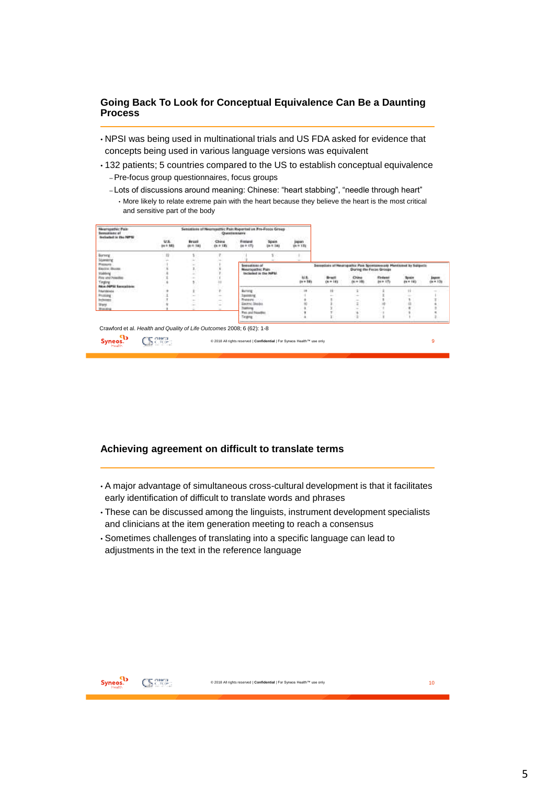#### **Going Back To Look for Conceptual Equivalence Can Be a Daunting Process**

- NPSI was being used in multinational trials and US FDA asked for evidence that concepts being used in various language versions was equivalent
- 132 patients; 5 countries compared to the US to establish conceptual equivalence –Pre-focus group questionnaires, focus groups
	- Lots of discussions around meaning: Chinese: "heart stabbing", "needle through heart"
		- More likely to relate extreme pain with the heart because they believe the heart is the most critical and sensitive part of the body

| Newmanothic Pain<br>Sensations of<br><b>Bighaded in the NPG</b>       |                                            |                               |                   | <b>Outstanded</b>                                                  | Senations of Nearepotte: Pain Reported on Pre-Focol Group |                                                                         |                                                                  |              |                         |           |                 |
|-----------------------------------------------------------------------|--------------------------------------------|-------------------------------|-------------------|--------------------------------------------------------------------|-----------------------------------------------------------|-------------------------------------------------------------------------|------------------------------------------------------------------|--------------|-------------------------|-----------|-----------------|
|                                                                       | <b>U.S.</b><br><b><i>Bar 41 9.00 b</i></b> | <b>Brazil</b><br>$60.9 - 141$ | China<br>(0.9.12) | Finished<br>$(n + ct)$                                             | Spain<br>In 188                                           | japan<br>un w 131                                                       |                                                                  |              |                         |           |                 |
| <b>Borning</b><br>Stumating                                           |                                            |                               |                   |                                                                    |                                                           |                                                                         |                                                                  |              |                         |           |                 |
| Pieseare<br>Easter Books                                              |                                            |                               |                   | Separations of<br><b>Haiuttoachic Plan</b><br>Iniciaded in the NFM |                                                           |                                                                         | Semetors of Neuropathic Pain Spontanoously Mentioned by Subjects |              | During the Fecas Groups |           |                 |
| stablistic<br>First strut freezose                                    |                                            |                               |                   |                                                                    |                                                           | M.R.                                                                    | <b>Brack</b>                                                     | <b>China</b> | Einbend                 | Spisier   |                 |
| Tingting<br><b>Now MPSI Servators</b>                                 |                                            |                               |                   |                                                                    |                                                           | in v 14)                                                                | $0.75$ and $0.4$                                                 | $m = 146$    | $km = 175$              | $m = 140$ | Japan<br>Grecia |
| 11 H 7 S 11<br><b><i><u>Educationals</u></i></b>                      |                                            |                               |                   | Burning                                                            |                                                           | ×                                                                       | Ħ                                                                |              |                         | 11        |                 |
| Problem                                                               |                                            | $\sim$                        | Ξ                 | Inconve                                                            |                                                           |                                                                         |                                                                  |              |                         |           |                 |
| <b>Inchesent</b>                                                      |                                            |                               | $\sim$            | Freteine.                                                          |                                                           |                                                                         |                                                                  |              |                         |           |                 |
| <b>Sharp</b>                                                          |                                            |                               | $\sim$            | Earry Model                                                        |                                                           |                                                                         |                                                                  |              |                         |           |                 |
| <b>Wooding</b>                                                        |                                            |                               |                   |                                                                    |                                                           |                                                                         |                                                                  |              |                         |           |                 |
|                                                                       |                                            |                               |                   | Fax and Newthe<br>Teges                                            |                                                           |                                                                         |                                                                  |              |                         |           |                 |
| Crawford et al. Health and Quality of Life Outcomes 2008; 6 (62): 1-8 |                                            |                               |                   |                                                                    |                                                           |                                                                         |                                                                  |              |                         |           |                 |
| $\mathbf{a}$<br><b>Syneos.</b>                                        | ством.<br>Според                           |                               |                   |                                                                    |                                                           | © 2018 All rights reserved   Confidential   For Syneos Health™ use only |                                                                  |              |                         |           | g               |

#### **Achieving agreement on difficult to translate terms**

- A major advantage of simultaneous cross-cultural development is that it facilitates early identification of difficult to translate words and phrases
- These can be discussed among the linguists, instrument development specialists and clinicians at the item generation meeting to reach a consensus
- Sometimes challenges of translating into a specific language can lead to adjustments in the text in the reference language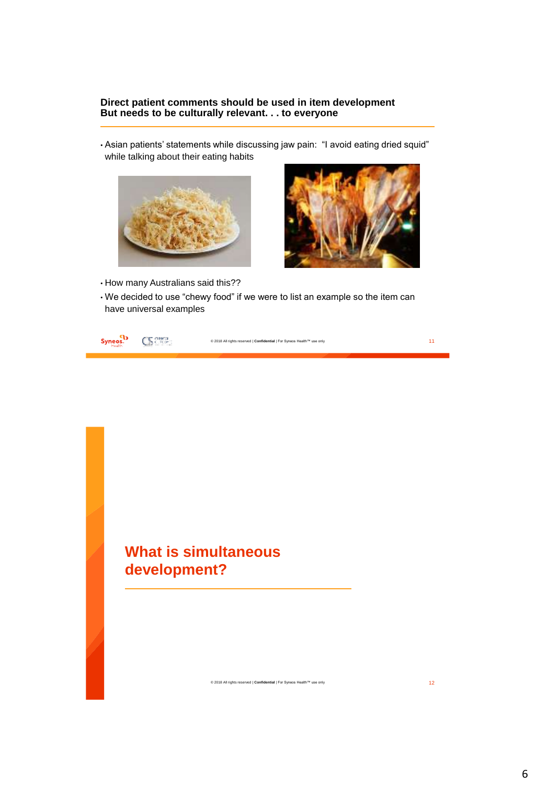#### **Direct patient comments should be used in item development But needs to be culturally relevant. . . to everyone**

• Asian patients' statements while discussing jaw pain: "I avoid eating dried squid" while talking about their eating habits





- How many Australians said this??
- We decided to use "chewy food" if we were to list an example so the item can have universal examples

| Syneos.<br>Health |  | © 2018 All rights reserved   Confidential   For Syneos Health™ use only |  |
|-------------------|--|-------------------------------------------------------------------------|--|
|-------------------|--|-------------------------------------------------------------------------|--|

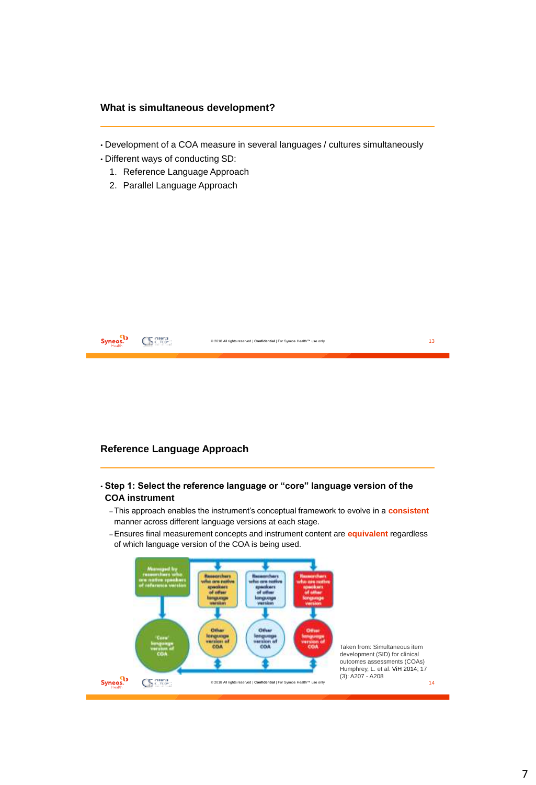#### **What is simultaneous development?**

- Development of a COA measure in several languages / cultures simultaneously
- Different ways of conducting SD:
	- 1. Reference Language Approach
	- 2. Parallel Language Approach



#### **Reference Language Approach**

- **Step 1: Select the reference language or "core" language version of the COA instrument**
	- –This approach enables the instrument's conceptual framework to evolve in a **consistent** manner across different language versions at each stage.
	- –Ensures final measurement concepts and instrument content are **equivalent** regardless of which language version of the COA is being used.

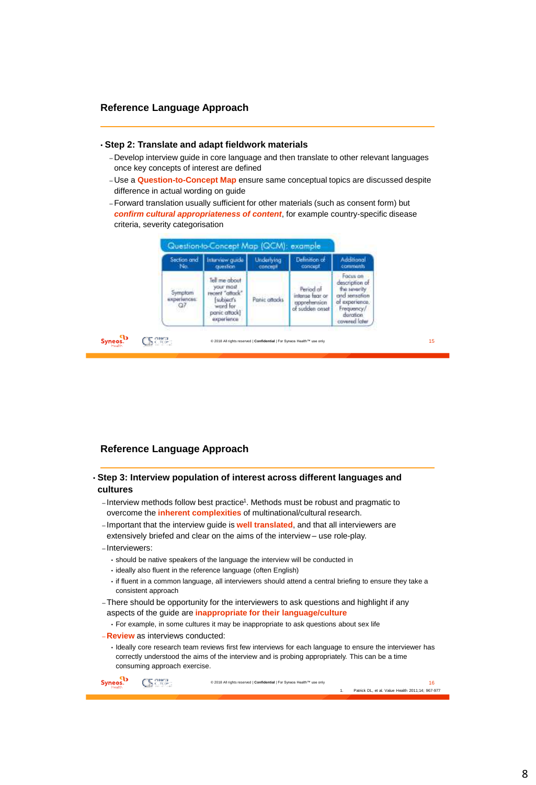#### **Reference Language Approach**

#### • **Step 2: Translate and adapt fieldwork materials**

- Develop interview guide in core language and then translate to other relevant languages once key concepts of interest are defined
- Use a **Question-to-Concept Map** ensure same conceptual topics are discussed despite difference in actual wording on guide
- –Forward translation usually sufficient for other materials (such as consent form) but *confirm cultural appropriateness of content*, for example country-specific disease criteria, severity categorisation

| Section and                        | <b>Interview quide</b>                                                                                | Underlying                  | Definition of                                                   | <b>Additional</b>                                                                                                        |
|------------------------------------|-------------------------------------------------------------------------------------------------------|-----------------------------|-----------------------------------------------------------------|--------------------------------------------------------------------------------------------------------------------------|
| No.                                | cuestion                                                                                              | concept                     | concept.                                                        | comments                                                                                                                 |
| Symptom<br>experiences.<br>O7<br>œ | Tell me about<br>your most<br>recent "attack"<br>subject's<br>word for<br>panic attack!<br>experience | Panic attacks<br>Versionen. | Period of<br>intense from on<br>apprehension<br>of sudden onset | Focus on<br>description of<br>the severity<br>and sensation<br>of experience.<br>Frequency/<br>duration<br>covered loter |

#### **Reference Language Approach**

- **Step 3: Interview population of interest across different languages and cultures**
	- Interview methods follow best practice<sup>1</sup>. Methods must be robust and pragmatic to overcome the **inherent complexities** of multinational/cultural research.
	- Important that the interview guide is **well translated**, and that all interviewers are extensively briefed and clear on the aims of the interview – use role-play.
	- Interviewers:
		- should be native speakers of the language the interview will be conducted in
		- ideally also fluent in the reference language (often English)
		- if fluent in a common language, all interviewers should attend a central briefing to ensure they take a consistent approach
	- –There should be opportunity for the interviewers to ask questions and highlight if any aspects of the guide are **inappropriate for their language/culture**
		- For example, in some cultures it may be inappropriate to ask questions about sex life
	- **Review** as interviews conducted:
		- Ideally core research team reviews first few interviews for each language to ensure the interviewer has correctly understood the aims of the interview and is probing appropriately. This can be a time consuming approach exercise.

Syneos.<sup>1</sup> **CS** Crown © 2018 All rights reserved | **Confidential** | For Syneos Health™ use only 16 1. Patrick DL, et al. Value Health 2011;14; 967-977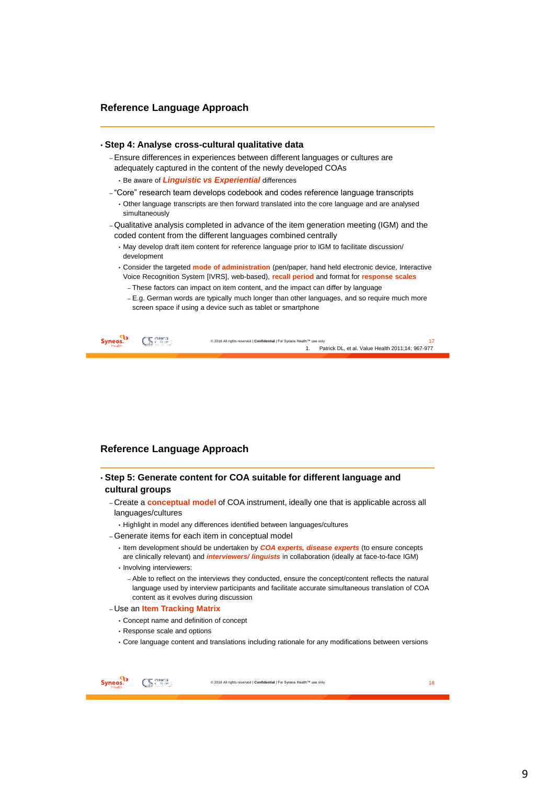#### **Reference Language Approach**

#### • **Step 4: Analyse cross-cultural qualitative data**

–Ensure differences in experiences between different languages or cultures are adequately captured in the content of the newly developed COAs

• Be aware of *Linguistic vs Experiential* differences

- "Core" research team develops codebook and codes reference language transcripts
	- Other language transcripts are then forward translated into the core language and are analysed simultaneously
- –Qualitative analysis completed in advance of the item generation meeting (IGM) and the coded content from the different languages combined centrally
	- May develop draft item content for reference language prior to IGM to facilitate discussion/ development
	- Consider the targeted **mode of administration** (pen/paper, hand held electronic device, Interactive Voice Recognition System [IVRS], web-based), **recall period** and format for **response scales**
		- These factors can impact on item content, and the impact can differ by language
		- E.g. German words are typically much longer than other languages, and so require much more screen space if using a device such as tablet or smartphone

|  | © 2018 All rights reserved   Confidential   For Syneos Health™ use only |  |
|--|-------------------------------------------------------------------------|--|
|  | Patrick DL, et al. Value Health 2011;14; 967-977                        |  |
|  |                                                                         |  |

#### **Reference Language Approach**

#### • **Step 5: Generate content for COA suitable for different language and cultural groups**

- Create a **conceptual model** of COA instrument, ideally one that is applicable across all languages/cultures
- Highlight in model any differences identified between languages/cultures
- –Generate items for each item in conceptual model
	- Item development should be undertaken by *COA experts, disease experts* (to ensure concepts are clinically relevant) and *interviewers/ linguists* in collaboration (ideally at face-to-face IGM)
	- Involving interviewers:
		- Able to reflect on the interviews they conducted, ensure the concept/content reflects the natural language used by interview participants and facilitate accurate simultaneous translation of COA content as it evolves during discussion

#### – Use an **Item Tracking Matrix**

- Concept name and definition of concept
- Response scale and options
- Core language content and translations including rationale for any modifications between versions

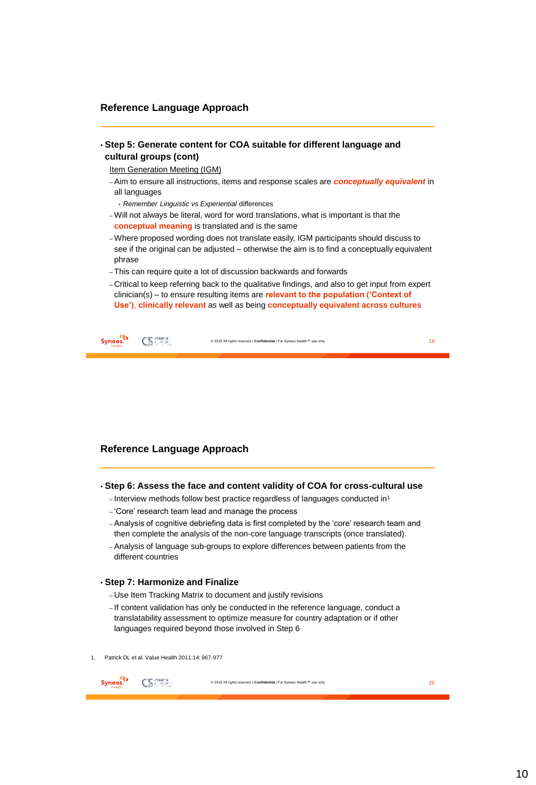#### **Reference Language Approach**

• **Step 5: Generate content for COA suitable for different language and cultural groups (cont)**

Item Generation Meeting (IGM)

- –Aim to ensure all instructions, items and response scales are *conceptually equivalent* in all languages
	- *Remember Linguistic vs Experiential* differences
- –Will not always be literal, word for word translations, what is important is that the **conceptual meaning** is translated and is the same
- –Where proposed wording does not translate easily, IGM participants should discuss to see if the original can be adjusted – otherwise the aim is to find a conceptually equivalent phrase
- –This can require quite a lot of discussion backwards and forwards
- Critical to keep referring back to the qualitative findings, and also to get input from expert clinician(s) – to ensure resulting items are **relevant to the population ('Context of Use')**, **clinically relevant** as well as being **conceptually equivalent across cultures**

| Syneos.<br>Health | Cherca.<br>Children | © 2018 All rights reserved   Confidential   For Syneos Health™ use only |  |
|-------------------|---------------------|-------------------------------------------------------------------------|--|
|-------------------|---------------------|-------------------------------------------------------------------------|--|

#### **Reference Language Approach**

- **Step 6: Assess the face and content validity of COA for cross-cultural use**
	- $-$  Interview methods follow best practice regardless of languages conducted in<sup>1</sup>
	- 'Core' research team lead and manage the process
	- –Analysis of cognitive debriefing data is first completed by the 'core' research team and then complete the analysis of the non-core language transcripts (once translated).
	- –Analysis of language sub-groups to explore differences between patients from the different countries

#### • **Step 7: Harmonize and Finalize**

- Use Item Tracking Matrix to document and justify revisions
- If content validation has only be conducted in the reference language, conduct a translatability assessment to optimize measure for country adaptation or if other languages required beyond those involved in Step 6
- 1. Patrick DL et al. Value Health 2011;14; 967-977

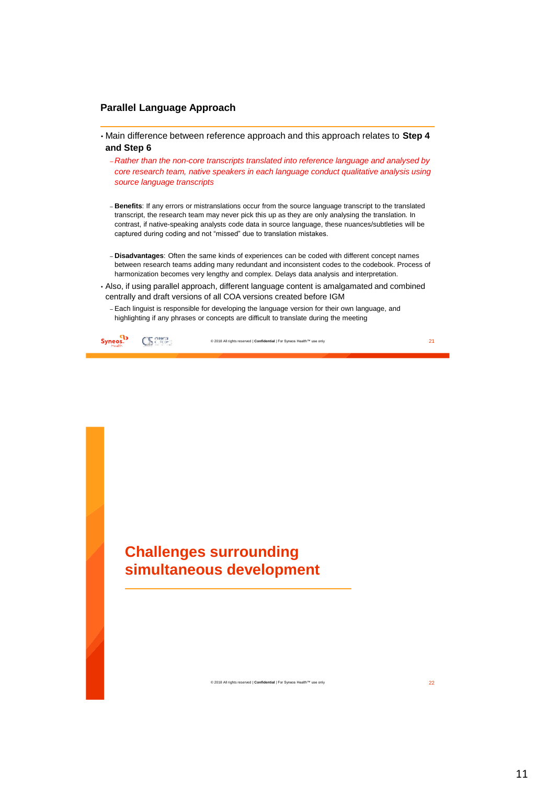#### **Parallel Language Approach**

- Main difference between reference approach and this approach relates to **Step 4 and Step 6**
	- *Rather than the non-core transcripts translated into reference language and analysed by core research team, native speakers in each language conduct qualitative analysis using source language transcripts*
	- **Benefits**: If any errors or mistranslations occur from the source language transcript to the translated transcript, the research team may never pick this up as they are only analysing the translation. In contrast, if native-speaking analysts code data in source language, these nuances/subtleties will be captured during coding and not "missed" due to translation mistakes.
	- **Disadvantages**: Often the same kinds of experiences can be coded with different concept names between research teams adding many redundant and inconsistent codes to the codebook. Process of harmonization becomes very lengthy and complex. Delays data analysis and interpretation.
- Also, if using parallel approach, different language content is amalgamated and combined centrally and draft versions of all COA versions created before IGM
	- Each linguist is responsible for developing the language version for their own language, and highlighting if any phrases or concepts are difficult to translate during the meeting

Syneos.<sup>1</sup> CS Crown © 2018 All rights reserved | **Confidential** | For Syneos Health™ use only 21

# **Challenges surrounding simultaneous development**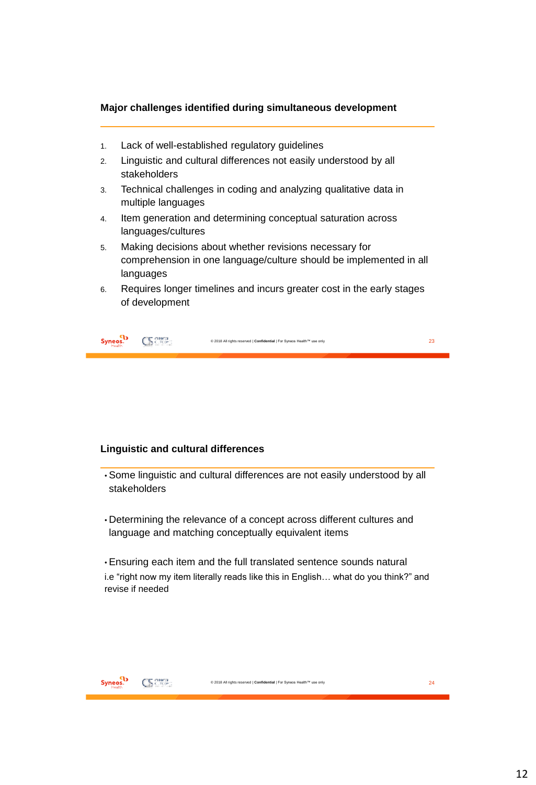#### **Major challenges identified during simultaneous development**

- 1. Lack of well-established regulatory guidelines
- 2. Linguistic and cultural differences not easily understood by all stakeholders
- 3. Technical challenges in coding and analyzing qualitative data in multiple languages
- 4. Item generation and determining conceptual saturation across languages/cultures
- 5. Making decisions about whether revisions necessary for comprehension in one language/culture should be implemented in all languages
- 6. Requires longer timelines and incurs greater cost in the early stages of development

| <b>Syneos.</b><br>CK 2502-<br>© 2018 All rights reserved   Confidential   For Syneos Health™ use only |  |
|-------------------------------------------------------------------------------------------------------|--|
|-------------------------------------------------------------------------------------------------------|--|

#### **Linguistic and cultural differences**

- Some linguistic and cultural differences are not easily understood by all stakeholders
- Determining the relevance of a concept across different cultures and language and matching conceptually equivalent items

• Ensuring each item and the full translated sentence sounds natural i.e "right now my item literally reads like this in English… what do you think?" and revise if needed

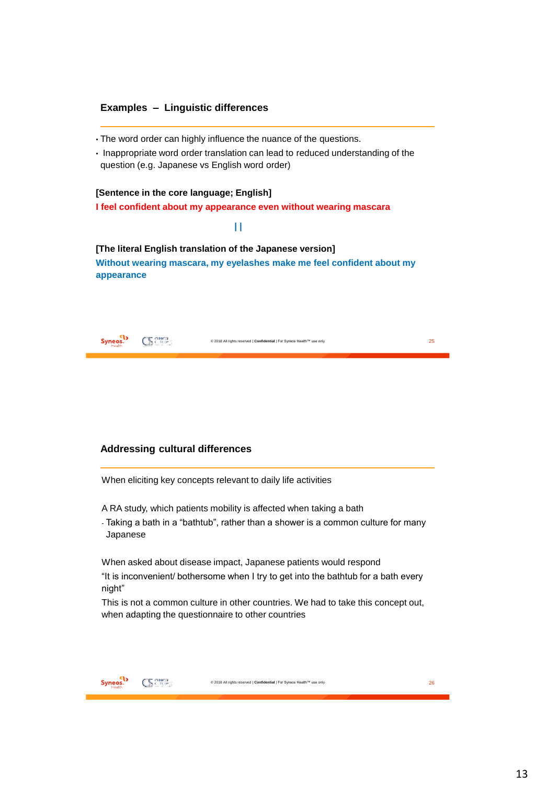#### **Examples – Linguistic differences**

- The word order can highly influence the nuance of the questions.
- Inappropriate word order translation can lead to reduced understanding of the question (e.g. Japanese vs English word order)

#### **[Sentence in the core language; English]**

**I feel confident about my appearance even without wearing mascara** 

#### **| |**

**[The literal English translation of the Japanese version] Without wearing mascara, my eyelashes make me feel confident about my appearance**

| The means<br><b>Syneos.</b><br>The first control of the control<br>∼ | © 2018 All rights reserved   Confidential   For Syneos Health™ use only | $\sim$ |
|----------------------------------------------------------------------|-------------------------------------------------------------------------|--------|
|----------------------------------------------------------------------|-------------------------------------------------------------------------|--------|

#### **Addressing cultural differences**

When eliciting key concepts relevant to daily life activities

A RA study, which patients mobility is affected when taking a bath

- Taking a bath in a "bathtub", rather than a shower is a common culture for many Japanese

When asked about disease impact, Japanese patients would respond "It is inconvenient/ bothersome when I try to get into the bathtub for a bath every night"

This is not a common culture in other countries. We had to take this concept out, when adapting the questionnaire to other countries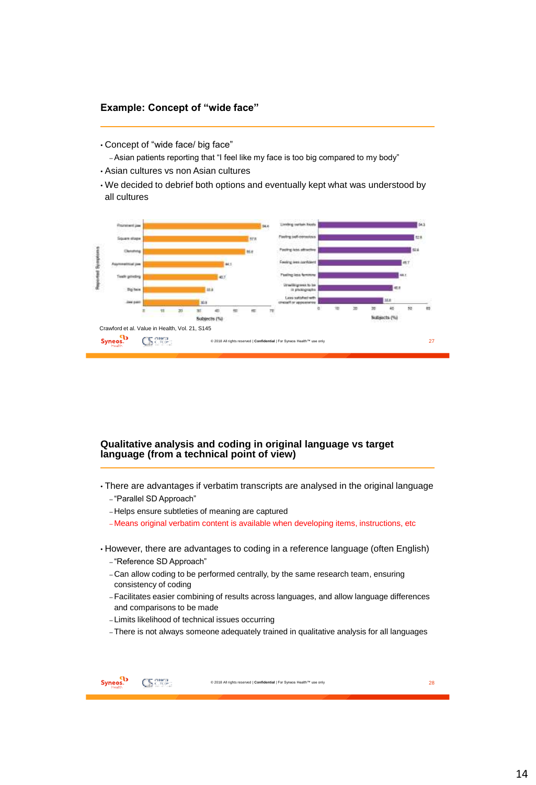#### **Example: Concept of "wide face"**

• Concept of "wide face/ big face"

–Asian patients reporting that "I feel like my face is too big compared to my body"

- Asian cultures vs non Asian cultures
- We decided to debrief both options and eventually kept what was understood by all cultures



#### **Qualitative analysis and coding in original language vs target language (from a technical point of view)**

- There are advantages if verbatim transcripts are analysed in the original language – "Parallel SD Approach"
	- Helps ensure subtleties of meaning are captured
	- Means original verbatim content is available when developing items, instructions, etc
- However, there are advantages to coding in a reference language (often English)
	- "Reference SD Approach"
	- Can allow coding to be performed centrally, by the same research team, ensuring consistency of coding
	- –Facilitates easier combining of results across languages, and allow language differences and comparisons to be made
	- Limits likelihood of technical issues occurring
	- –There is not always someone adequately trained in qualitative analysis for all languages

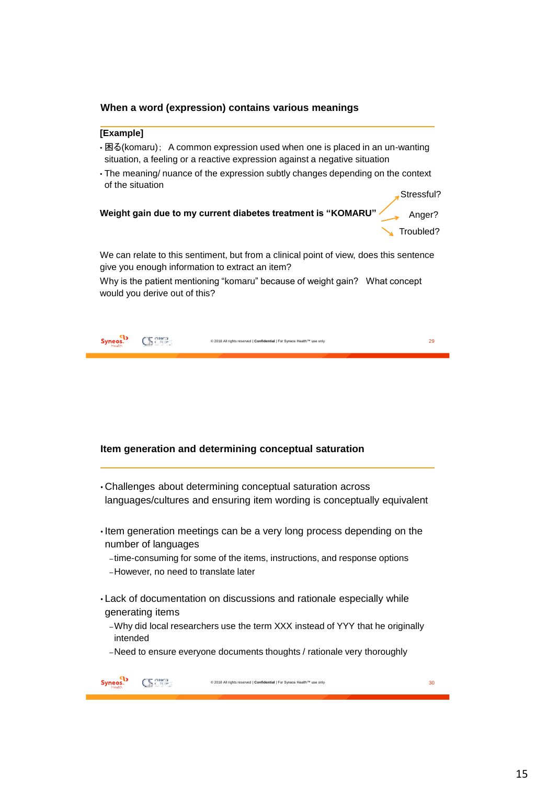#### **When a word (expression) contains various meanings**

#### **[Example]**

- 困る(komaru); A common expression used when one is placed in an un-wanting situation, a feeling or a reactive expression against a negative situation
- The meaning/ nuance of the expression subtly changes depending on the context of the situation

Stressful?



We can relate to this sentiment, but from a clinical point of view, does this sentence give you enough information to extract an item?

Why is the patient mentioning "komaru" because of weight gain? What concept would you derive out of this?

| <b>Syneos.</b><br>© 2018 All rights reserved   Confidential   For Syneos Health™ use only |  |
|-------------------------------------------------------------------------------------------|--|
|-------------------------------------------------------------------------------------------|--|

#### **Item generation and determining conceptual saturation**

• Challenges about determining conceptual saturation across languages/cultures and ensuring item wording is conceptually equivalent

• Item generation meetings can be a very long process depending on the number of languages

–time-consuming for some of the items, instructions, and response options –However, no need to translate later

• Lack of documentation on discussions and rationale especially while generating items

–Why did local researchers use the term XXX instead of YYY that he originally intended

–Need to ensure everyone documents thoughts / rationale very thoroughly

| tealth. | 2018 All rights reserved   Confidential   For Syneos Health™ use only |  |
|---------|-----------------------------------------------------------------------|--|
|         |                                                                       |  |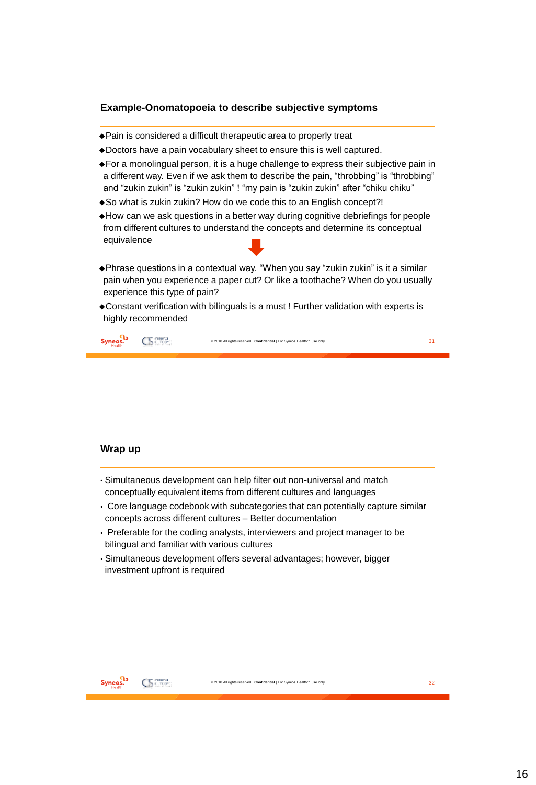#### **Example-Onomatopoeia to describe subjective symptoms**

- Pain is considered a difficult therapeutic area to properly treat
- Doctors have a pain vocabulary sheet to ensure this is well captured.
- For a monolingual person, it is a huge challenge to express their subjective pain in a different way. Even if we ask them to describe the pain, "throbbing" is "throbbing" and "zukin zukin" is "zukin zukin" ! "my pain is "zukin zukin" after "chiku chiku"
- So what is zukin zukin? How do we code this to an English concept?!
- How can we ask questions in a better way during cognitive debriefings for people from different cultures to understand the concepts and determine its conceptual equivalence
- Phrase questions in a contextual way. "When you say "zukin zukin" is it a similar pain when you experience a paper cut? Or like a toothache? When do you usually experience this type of pain?
- Constant verification with bilinguals is a must ! Further validation with experts is highly recommended

| Syneos. | ъ. | © 2018 All rights reserved   Confidential   For Syneos Health™ use only |  |
|---------|----|-------------------------------------------------------------------------|--|
|---------|----|-------------------------------------------------------------------------|--|

#### **Wrap up**

- Simultaneous development can help filter out non-universal and match conceptually equivalent items from different cultures and languages
- Core language codebook with subcategories that can potentially capture similar concepts across different cultures – Better documentation
- Preferable for the coding analysts, interviewers and project manager to be bilingual and familiar with various cultures
- Simultaneous development offers several advantages; however, bigger investment upfront is required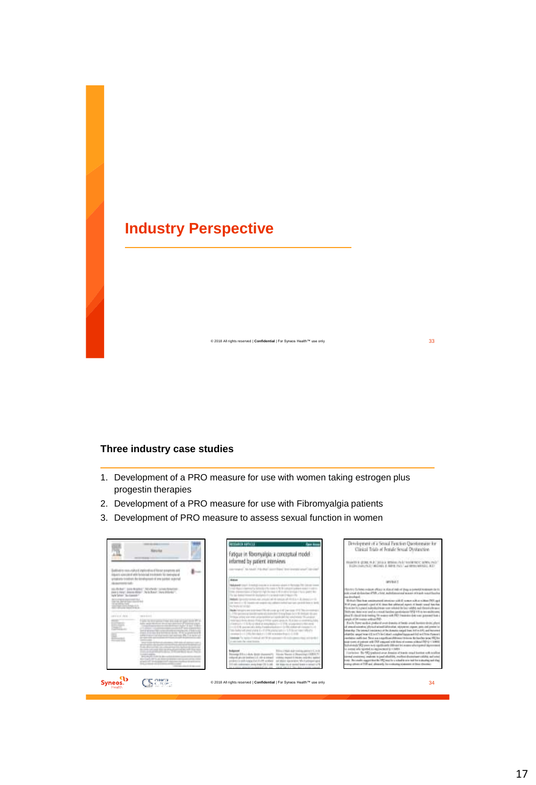# **Industry Perspective**

#### **Three industry case studies**

1. Development of a PRO measure for use with women taking estrogen plus progestin therapies

- 2. Development of a PRO measure for use with Fibromyalgia patients
- 3. Development of PRO measure to assess sexual function in women

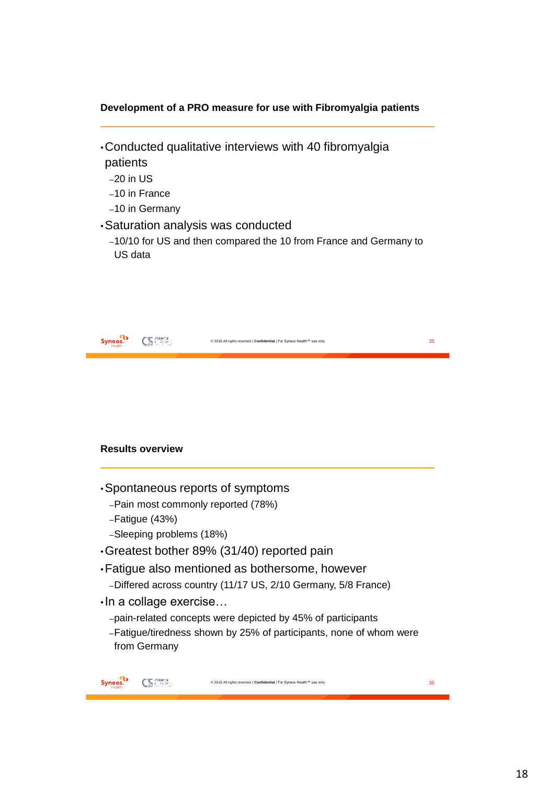### **Development of a PRO measure for use with Fibromyalgia patients**

- •Conducted qualitative interviews with 40 fibromyalgia patients
	- –20 in US
	- –10 in France
	- –10 in Germany
- •Saturation analysis was conducted
	- –10/10 for US and then compared the 10 from France and Germany to US data

|                      |                               | © 2018 All rights reserved   Confidential   For Syneos Health™ use only | 35 |
|----------------------|-------------------------------|-------------------------------------------------------------------------|----|
|                      |                               |                                                                         |    |
|                      |                               |                                                                         |    |
|                      | <b>Results overview</b>       |                                                                         |    |
|                      |                               | Spontaneous reports of symptoms                                         |    |
|                      |                               | -Pain most commonly reported (78%)                                      |    |
|                      | $-Fatique (43%)$              |                                                                         |    |
|                      | -Sleeping problems (18%)      |                                                                         |    |
|                      |                               | Greatest bother 89% (31/40) reported pain                               |    |
|                      |                               | • Fatigue also mentioned as bothersome, however                         |    |
|                      |                               | -Differed across country (11/17 US, 2/10 Germany, 5/8 France)           |    |
|                      | $\cdot$ In a collage exercise |                                                                         |    |
|                      |                               | -pain-related concepts were depicted by 45% of participants             |    |
|                      | from Germany                  | -Fatigue/tiredness shown by 25% of participants, none of whom were      |    |
| Syneos. <sup>4</sup> |                               | © 2018 All rights reserved   Confidential   For Syneos Health™ use only | 36 |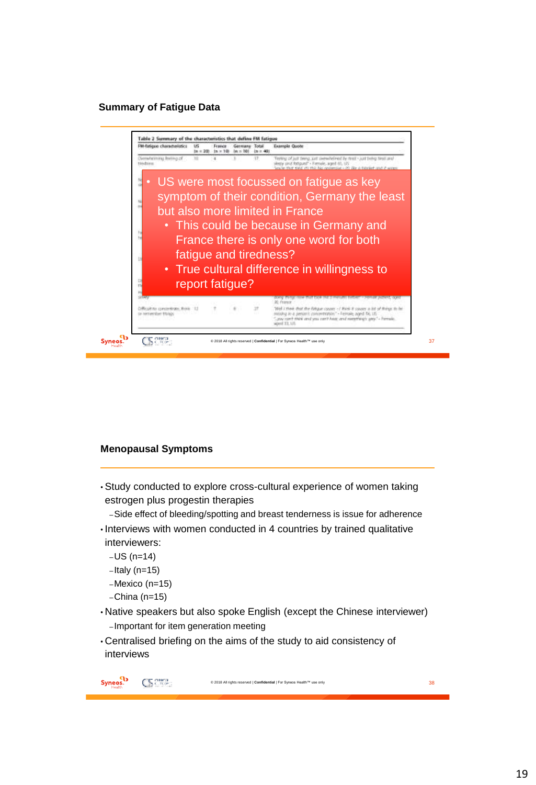#### **Summary of Fatigue Data**



#### **Menopausal Symptoms**

• Study conducted to explore cross-cultural experience of women taking estrogen plus progestin therapies

–Side effect of bleeding/spotting and breast tenderness is issue for adherence

- Interviews with women conducted in 4 countries by trained qualitative interviewers:
	- –US (n=14)
	- $-$ Italy (n=15)
	- –Mexico (n=15)
	- –China (n=15)
- Native speakers but also spoke English (except the Chinese interviewer) –Important for item generation meeting
- Centralised briefing on the aims of the study to aid consistency of interviews

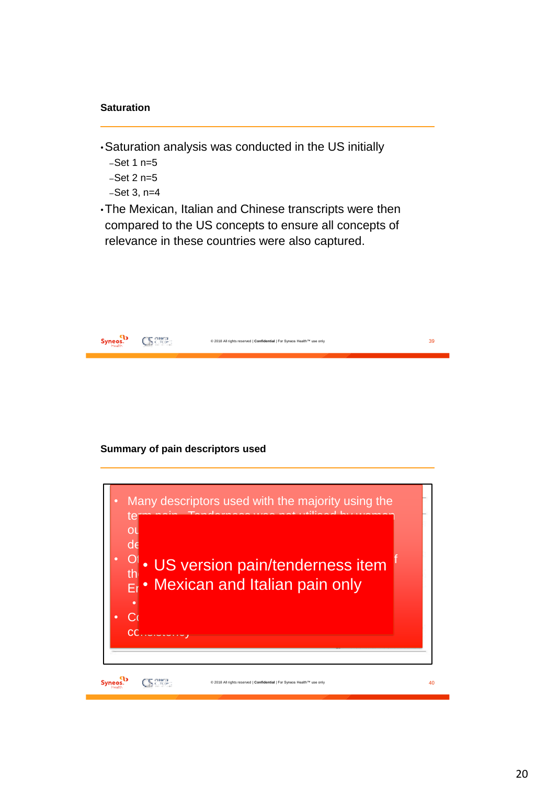#### **Saturation**

- •Saturation analysis was conducted in the US initially
	- $-$ Set 1 n= $5$  $-$ Set 2 n= $5$  $-$ Set 3, n=4
- •The Mexican, Italian and Chinese transcripts were then compared to the US concepts to ensure all concepts of relevance in these countries were also captured.

| Health. | © 2018 All rights reserved   Confidential   For Syneos Health™ use only |  |
|---------|-------------------------------------------------------------------------|--|
|         |                                                                         |  |

#### **Summary of pain descriptors used**

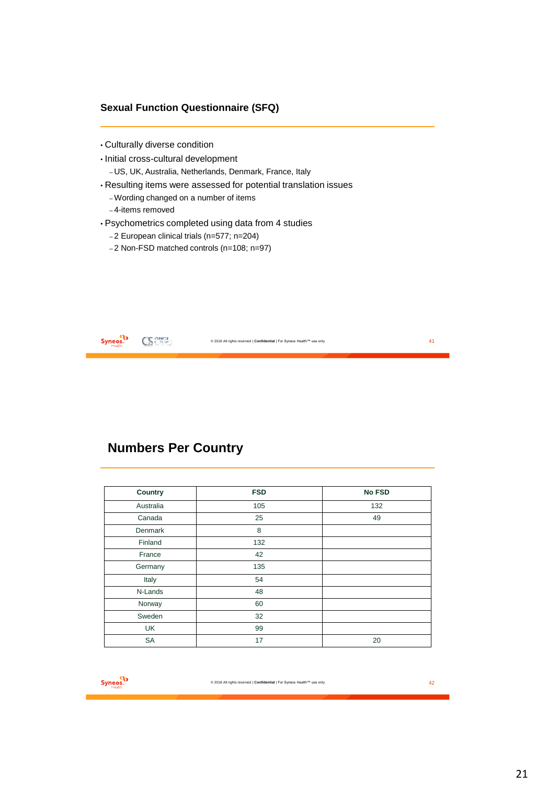### **Sexual Function Questionnaire (SFQ)**

- Culturally diverse condition
- Initial cross-cultural development – US, UK, Australia, Netherlands, Denmark, France, Italy
- Resulting items were assessed for potential translation issues
	- –Wording changed on a number of items
	- 4-items removed
- Psychometrics completed using data from 4 studies
	- 2 European clinical trials (n=577; n=204)
	- 2 Non-FSD matched controls (n=108; n=97)

| tealth |  | and I Confidential   For Syneos Health <sup>m</sup> use only<br>COSON |  |
|--------|--|-----------------------------------------------------------------------|--|
|--------|--|-----------------------------------------------------------------------|--|

# **Numbers Per Country**

| Country   | <b>FSD</b> | <b>No FSD</b> |
|-----------|------------|---------------|
| Australia | 105        | 132           |
| Canada    | 25         | 49            |
| Denmark   | 8          |               |
| Finland   | 132        |               |
| France    | 42         |               |
| Germany   | 135        |               |
| Italy     | 54         |               |
| N-Lands   | 48         |               |
| Norway    | 60         |               |
| Sweden    | 32         |               |
| UK        | 99         |               |
| <b>SA</b> | 17         | 20            |

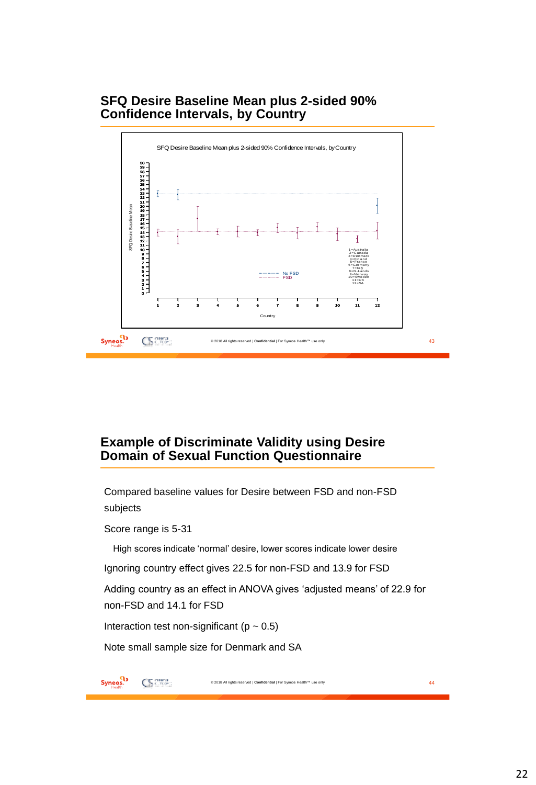### **SFQ Desire Baseline Mean plus 2-sided 90% Confidence Intervals, by Country**



### **Example of Discriminate Validity using Desire Domain of Sexual Function Questionnaire**

Compared baseline values for Desire between FSD and non-FSD subjects

Score range is 5-31

High scores indicate 'normal' desire, lower scores indicate lower desire

Ignoring country effect gives 22.5 for non-FSD and 13.9 for FSD

Adding country as an effect in ANOVA gives 'adjusted means' of 22.9 for non-FSD and 14.1 for FSD

Interaction test non-significant ( $p \sim 0.5$ )

Note small sample size for Denmark and SA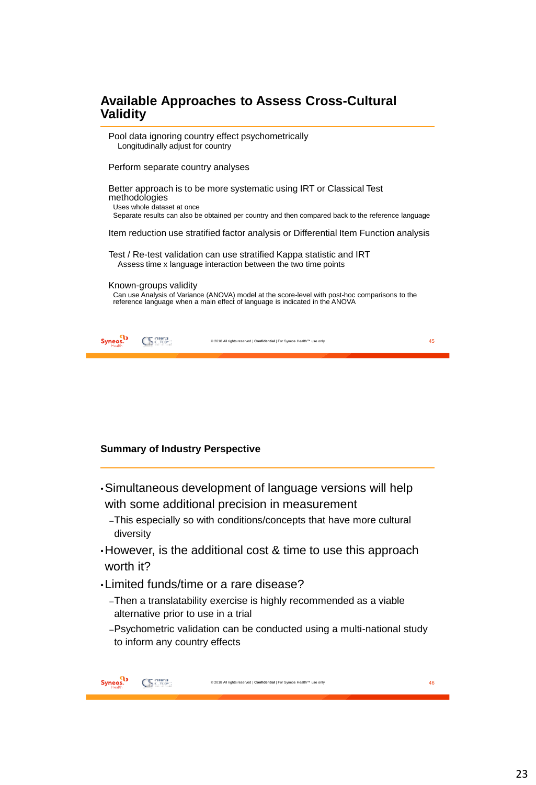## **Available Approaches to Assess Cross-Cultural Validity**

Pool data ignoring country effect psychometrically •Longitudinally adjust for country •Perform separate country analyses Better approach is to be more systematic using IRT or Classical Test methodologies Uses whole dataset at once Separate results can also be obtained per country and then compared back to the reference language •Item reduction use stratified factor analysis or Differential Item Function analysis Test / Re-test validation can use stratified Kappa statistic and IRT Assess time x language interaction between the two time points •Known-groups validity Can use Analysis of Variance (ANOVA) model at the score-level with post-hoc comparisons to the reference language when a main effect of language is indicated in the ANOVA Syneos.<sup>1</sup> CS Crown © 2018 All rights reserved | **Confidential** | For Syneos Health™ use only 45

#### **Summary of Industry Perspective**

- •Simultaneous development of language versions will help with some additional precision in measurement
	- –This especially so with conditions/concepts that have more cultural diversity
- •However, is the additional cost & time to use this approach worth it?
- •Limited funds/time or a rare disease?
	- –Then a translatability exercise is highly recommended as a viable alternative prior to use in a trial
	- –Psychometric validation can be conducted using a multi-national study to inform any country effects